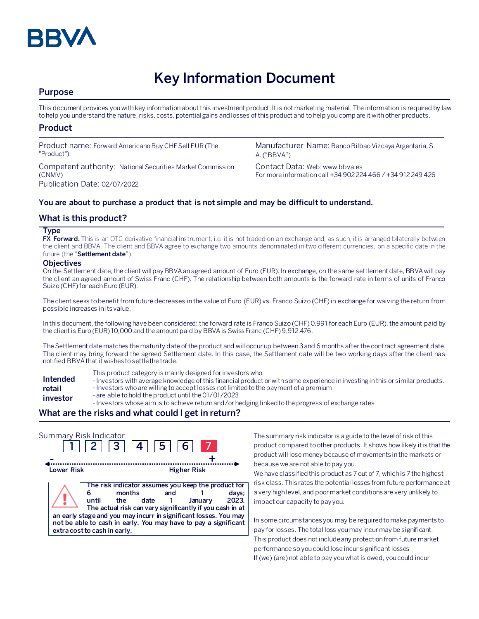

# **Key Information Document**

## **Purpose**

This document provides you with key information about this investment product. It is not marketing material. The information is required by law to help you understand the nature, risks, costs, potential gains and losses of this product and to help you compare it with other products.

## **Product**

Product name: Forward Americano Buy CHF Sell EUR (The "Product").

Competent authority: National Securities Market Commission (CNMV) Publication Date: 02/07/2022

Manufacturer Name: Banco Bilbao Vizcaya Argentaria, S. A. ("BBVA")

Contact Data: Web: www.bbva.es For more information call +34 902 224 466 / +34 912 249 426

### **You are about to purchase a product that is not simple and may be difficult to understand.**

## **What is this product?**

#### **Type**

**FX Forward.** This is an OTC derivative financial instrument, i.e. it is not traded on an exchange and, as such, it is arranged bilaterally between the client and BBVA. The client and BBVA agree to exchange two amounts denominated in two different currencies, on a specific date in the future (the "**Settlement date**").

#### **Objectives**

On the Settlement date, the client will pay BBVA an agreed amount of Euro (EUR). In exchange, on the same settlement date, BBVA will pay the client an agreed amount of Swiss Franc (CHF). The relationship between both amounts is the forward rate in terms of units of Franco Suizo (CHF)for each Euro (EUR).

The client seeks to benefit from future decreases in the value of Euro (EUR) vs. Franco Suizo (CHF)in exchange for waiving the return from possible increases in its value.

In this document, the following have been considered: the forward rate is Franco Suizo (CHF)0.991 for each Euro (EUR), the amount paid by the client is Euro (EUR) 10,000 and the amount paid by BBVA is Swiss Franc (CHF) 9,912.476.

The Settlement date matches the maturity date of the product and will occur up between 3 and 6 months after the contract agreement date. The client may bring forward the agreed Settlement date. In this case, the Settlement date will be two working days after the client has notified BBVA that it wishes to settle the trade.

- **Intended retail**
- This product category is mainly designed for investors who:
- Investors with average knowledge of this financial product or with some experience in investing in this or similar products.
- Investors who are willing to accept losses not limited to the payment of a premium
- **investor** - are able to hold the product until the 01/01/2023
	- Investors whose aim is to achieve return and/or hedging linked to the progress of exchange rates

## **What are the risks and what could I get in return?**



The summary risk indicator is a guide to the level of risk of this product compared to other products. It shows how likely it is that the product will lose money because of movements in the markets or because we are not able to pay you.

We have classified this product as 7 out of 7, which is 7 the highest risk class. This rates the potential losses from future performance at a very high level, and poor market conditions are very unlikely to impact our capacity to pay you.

In some circumstances you may be required to make payments to pay for losses. The total loss you may incur may be significant. This product does not include any protection from future market performance so you could lose incur significant losses If (we) (are) not able to pay you what is owed, you could incur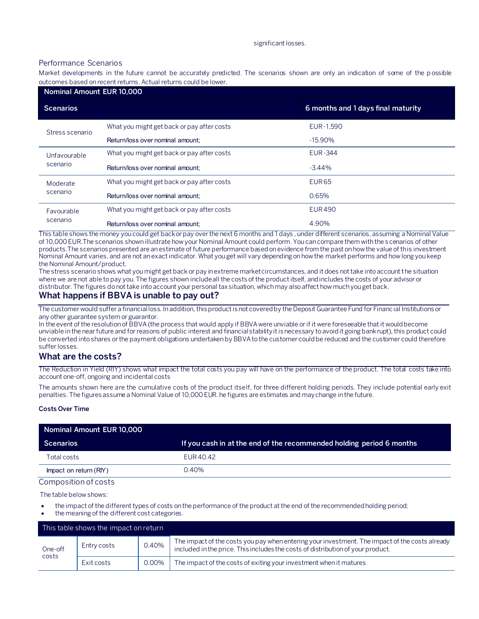#### significant losses.

#### Performance Scenarios

Market developments in the future cannot be accurately predicted. The scenarios shown are only an indication of some of the p ossible outcomes based on recent returns. Actual returns could be lower.

| Nominal Amount EUR 10,000 |                                            |                                    |  |  |  |
|---------------------------|--------------------------------------------|------------------------------------|--|--|--|
| <b>Scenarios</b>          |                                            | 6 months and 1 days final maturity |  |  |  |
| Stress scenario           | What you might get back or pay after costs | EUR-1.590                          |  |  |  |
|                           | Return/loss over nominal amount:           | $-15.90\%$                         |  |  |  |
| Unfavourable<br>scenario  | What you might get back or pay after costs | <b>EUR-344</b>                     |  |  |  |
|                           | Return/loss over nominal amount:           | $-3.44%$                           |  |  |  |
| Moderate<br>scenario      | What you might get back or pay after costs | <b>EUR65</b>                       |  |  |  |
|                           | Return/loss over nominal amount:           | 0.65%                              |  |  |  |
| Favourable<br>scenario    | What you might get back or pay after costs | <b>EUR490</b>                      |  |  |  |
|                           | Return/loss over nominal amount:           | 4.90%                              |  |  |  |

This table shows the money you could get back or pay over the next 6 months and 1 days , under different scenarios, assuming a Nominal Value of 10,000 EUR.The scenarios shown illustrate how your Nominal Amount could perform. You can compare them with the s cenarios of other products.The scenarios presented are an estimate of future performance based on evidence from the past on how the value of this investment Nominal Amount varies, and are not an exact indicator. What you get will vary depending on how the market performs and how long you keep the Nominal Amount/product.

The stress scenario shows what you might get back or pay in extreme market circumstances, and it does not take into account the situation where we are not able to pay you. The figures shown include all the costs of the product itself, and includes the costs of your advisor or distributor. The figures do not take into account your personal tax situation, which may also affect how much you get back.

## **What happens if BBVA is unable to pay out?**

The customer would suffer a financial loss. In addition, this product is not covered by the Deposit Guarantee Fund for Financial Institutions or any other guarantee system or guarantor.

In the event of the resolution of BBVA (the process that would apply if BBVA were unviable or if it were foreseeable that it would become unviable in the near future and for reasons of public interest and financial stability it is necessary to avoid it going bankrupt), this product could be converted into shares or the payment obligations undertaken by BBVA to the customer could be reduced and the customer could therefore suffer losses.

## **What are the costs?**

The Reduction in Yield (RIY) shows what impact the total costs you pay will have on the performance of the product. The total costs take into account one-off, ongoing and incidental costs

The amounts shown here are the cumulative costs of the product itself, for three different holding periods. They include potential early exit penalties. The figures assume a Nominal Value of 10,000 EUR. he figures are estimates and may change in the future.

#### **Costs Over Time**

| Nominal Amount EUR 10,000 |                                                                      |  |  |  |
|---------------------------|----------------------------------------------------------------------|--|--|--|
| Scenarios                 | If you cash in at the end of the recommended holding period 6 months |  |  |  |
| Total costs               | EUR 40.42                                                            |  |  |  |
| Impact on return (RIY)    | 0.40%                                                                |  |  |  |

#### Composition of costs

The table below shows:

- the impact of the different types of costs on the performance of the product at the end of the recommended holding period;
- the meaning of the different cost categories.

| This table shows the impact on return |             |       |                                                                                                                                                                                   |  |  |
|---------------------------------------|-------------|-------|-----------------------------------------------------------------------------------------------------------------------------------------------------------------------------------|--|--|
| One-off<br>costs                      | Entry costs | 0.40% | The impact of the costs you pay when entering your investment. The impact of the costs already<br>included in the price. This includes the costs of distribution of your product. |  |  |
|                                       | Exit costs  | 0.00% | The impact of the costs of exiting your investment when it matures                                                                                                                |  |  |